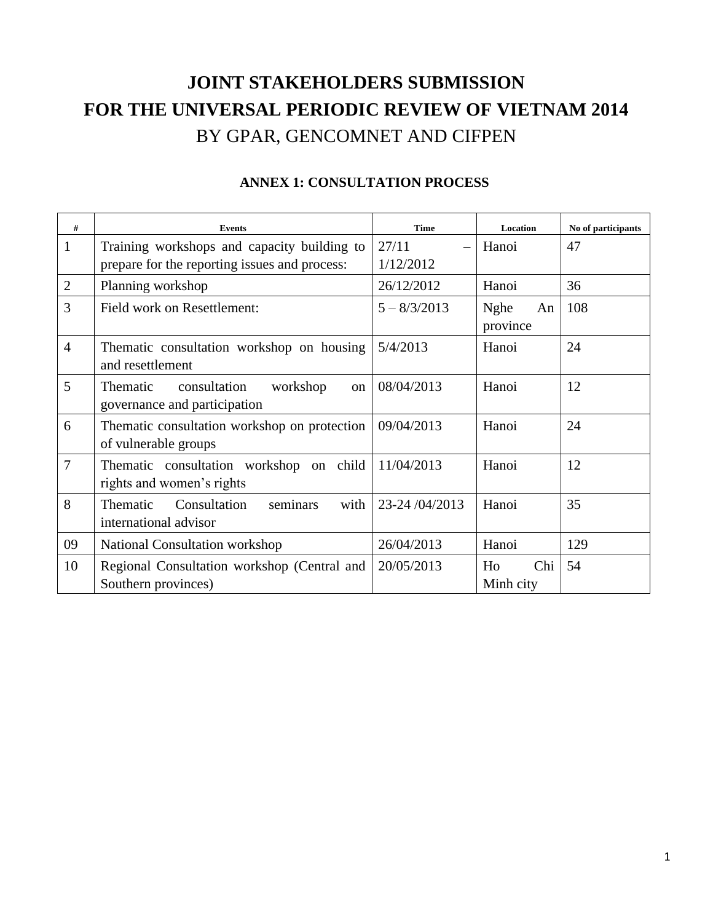## **JOINT STAKEHOLDERS SUBMISSION FOR THE UNIVERSAL PERIODIC REVIEW OF VIETNAM 2014** BY GPAR, GENCOMNET AND CIFPEN

| #              | <b>Events</b>                                                              | <b>Time</b>    | Location               | No of participants |
|----------------|----------------------------------------------------------------------------|----------------|------------------------|--------------------|
| $\mathbf{1}$   | Training workshops and capacity building to                                | 27/11          | Hanoi                  | 47                 |
|                | prepare for the reporting issues and process:                              | 1/12/2012      |                        |                    |
| $\overline{2}$ | Planning workshop                                                          | 26/12/2012     | Hanoi                  | 36                 |
| 3              | Field work on Resettlement:                                                | $5 - 8/3/2013$ | Nghe<br>An<br>province | 108                |
| $\overline{4}$ | Thematic consultation workshop on housing<br>and resettlement              | 5/4/2013       | Hanoi                  | 24                 |
| 5              | Thematic<br>consultation<br>workshop<br>on<br>governance and participation | 08/04/2013     | Hanoi                  | 12                 |
| 6              | Thematic consultation workshop on protection<br>of vulnerable groups       | 09/04/2013     | Hanoi                  | 24                 |
| $\overline{7}$ | Thematic consultation workshop on child<br>rights and women's rights       | 11/04/2013     | Hanoi                  | 12                 |
| 8              | seminars<br>Thematic<br>Consultation<br>with<br>international advisor      | 23-24/04/2013  | Hanoi                  | 35                 |
| 09             | National Consultation workshop                                             | 26/04/2013     | Hanoi                  | 129                |
| 10             | Regional Consultation workshop (Central and<br>Southern provinces)         | 20/05/2013     | Chi<br>Ho<br>Minh city | 54                 |

## **ANNEX 1: CONSULTATION PROCESS**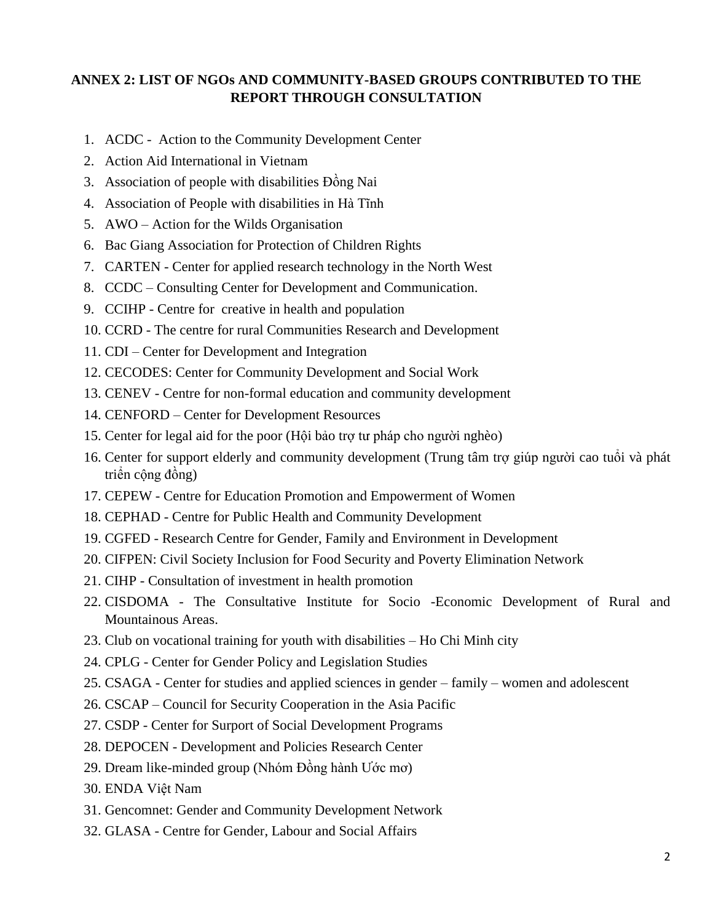## **ANNEX 2: LIST OF NGOs AND COMMUNITY-BASED GROUPS CONTRIBUTED TO THE REPORT THROUGH CONSULTATION**

- 1. ACDC Action to the Community Development Center
- 2. Action Aid International in Vietnam
- 3. Association of people with disabilities Đồng Nai
- 4. Association of People with disabilities in Hà Tĩnh
- 5. AWO Action for the Wilds Organisation
- 6. Bac Giang Association for Protection of Children Rights
- 7. CARTEN Center for applied research technology in the North West
- 8. CCDC Consulting Center for Development and Communication.
- 9. CCIHP Centre for creative in health and population
- 10. CCRD The centre for rural Communities Research and Development
- 11. CDI Center for Development and Integration
- 12. CECODES: Center for Community Development and Social Work
- 13. CENEV Centre for non-formal education and community development
- 14. CENFORD Center for Development Resources
- 15. Center for legal aid for the poor (Hội bảo trợ tư pháp cho người nghèo)
- 16. Center for support elderly and community development (Trung tâm trợ giúp người cao tuổi và phát triển cộng đồng)
- 17. CEPEW Centre for Education Promotion and Empowerment of Women
- 18. CEPHAD Centre for Public Health and Community Development
- 19. CGFED Research Centre for Gender, Family and Environment in Development
- 20. CIFPEN: Civil Society Inclusion for Food Security and Poverty Elimination Network
- 21. CIHP Consultation of investment in health promotion
- 22. CISDOMA [The Consultative Institute for Socio -Economic Development of Rural and](http://cdg.org.vn/eng/index.php?act=donvi_chitiet&id=43)  [Mountainous Areas.](http://cdg.org.vn/eng/index.php?act=donvi_chitiet&id=43)
- 23. Club on vocational training for youth with disabilities Ho Chi Minh city
- 24. CPLG Center for Gender Policy and Legislation Studies
- 25. CSAGA Center for studies and applied sciences in gender family women and adolescent
- 26. CSCAP Council for Security Cooperation in the Asia Pacific
- 27. CSDP Center for Surport of Social Development Programs
- 28. DEPOCEN Development and Policies Research Center
- 29. Dream like-minded group (Nhóm Đồng hành Ước mơ)
- 30. ENDA Việt Nam
- 31. Gencomnet: Gender and Community Development Network
- 32. GLASA Centre for Gender, Labour and Social Affairs